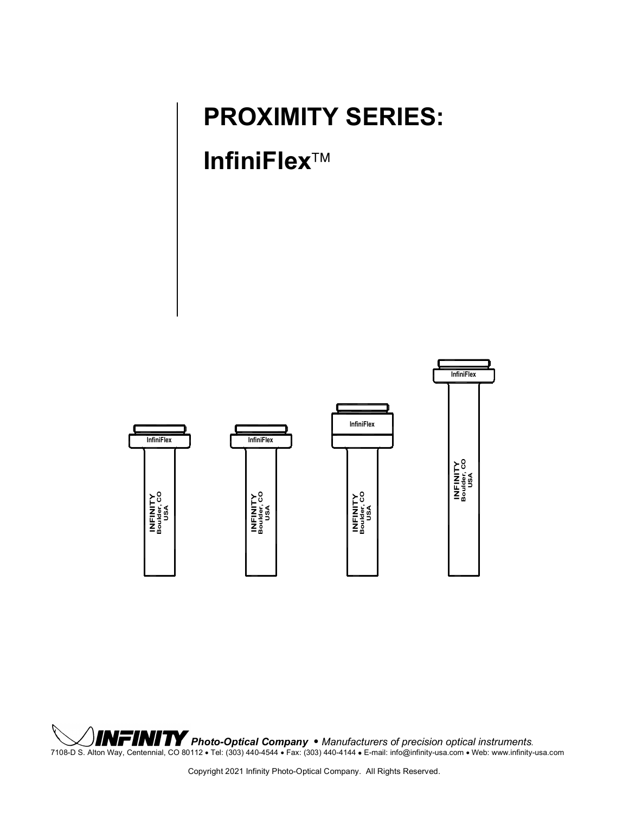### **PROXIMITY SERIES:**

### **InfiniFlex**



*Photo-Optical Company* • *Manufacturers of precision optical instruments.* 7108-D S. Alton Way, Centennial, CO 80112 • Tel: (303) 440-4544 • Fax: (303) 440-4144 • E-mail: info@infinity-usa.com • Web: www.infinity-usa.com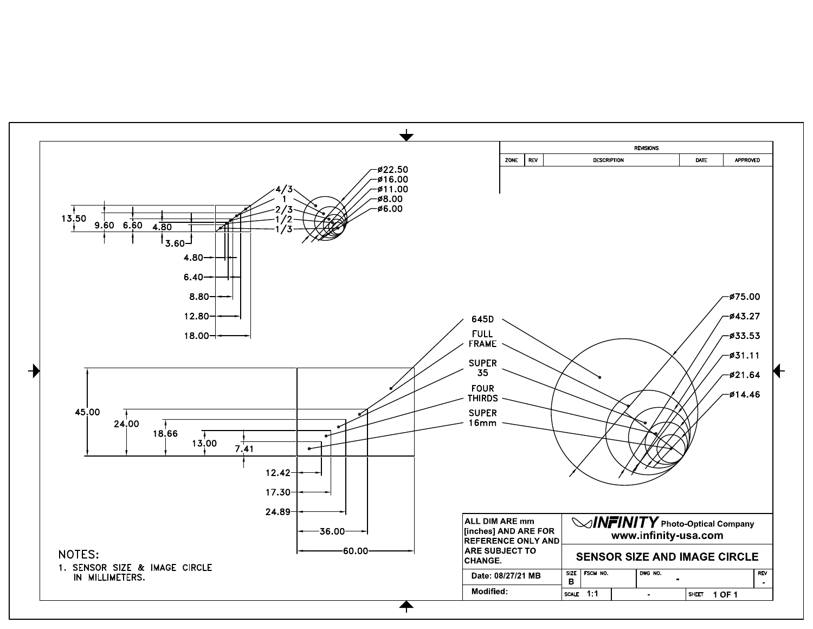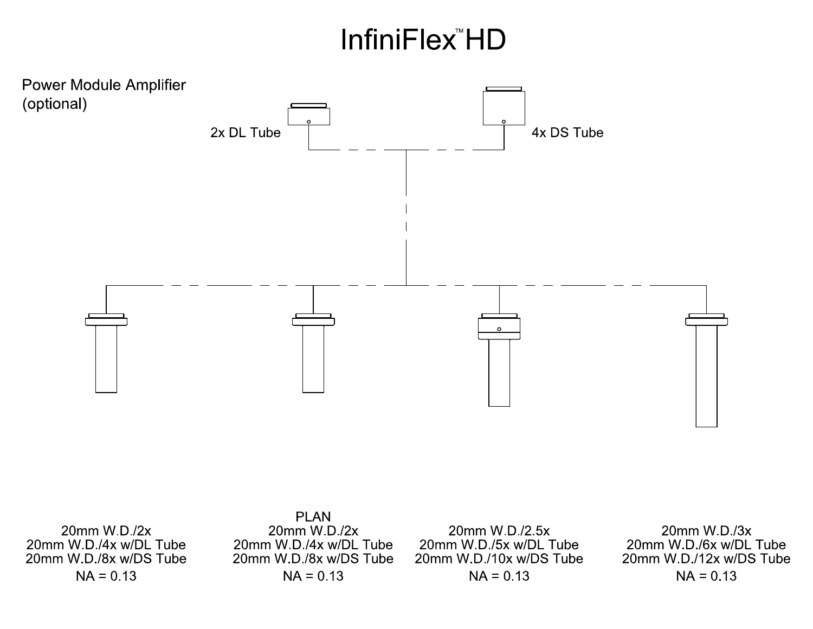# **InfiniFlex<sup>™</sup>HD**



20mm W.D./4x w/DL Tube 20mm W.D./8x w/DS Tube  $NA = 0.13$ 

20mm W.D./4x w/DL Tube 20mm W.D./8x w/DS Tube  $NA = 0.13$ 

20mm W.D./5x w/DL Tube 20mm W.D./10x w/DS Tube  $NA = 0.13$ 

20mm W.D./3x 20mm W.D./6x w/DL Tube 20mm W.D./12x w/DS Tube  $NA = 0.13$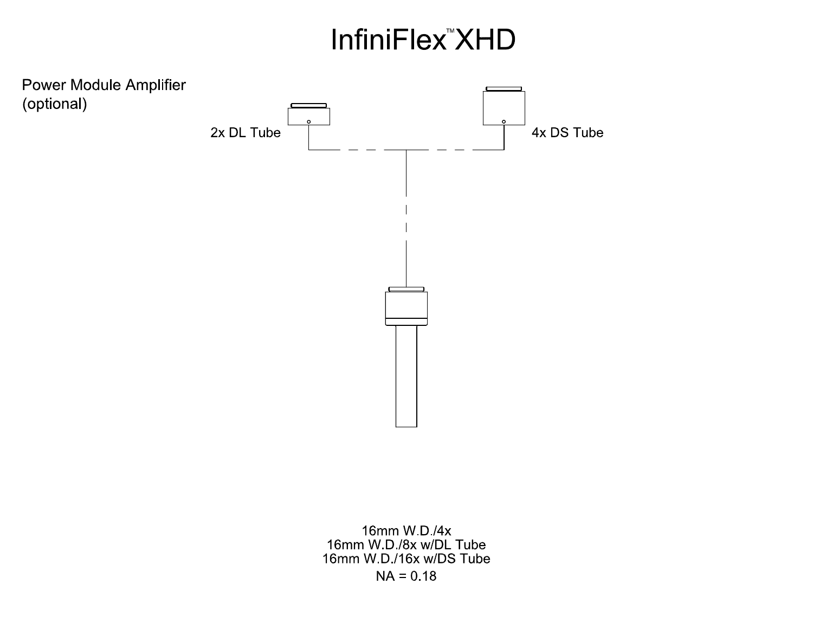# InfiniFlex<sup>"</sup>XHD



16mm W.D./4x 16mm W.D./8x w/DL Tube 16mm W.D./16x w/DS Tube  $NA = 0.18$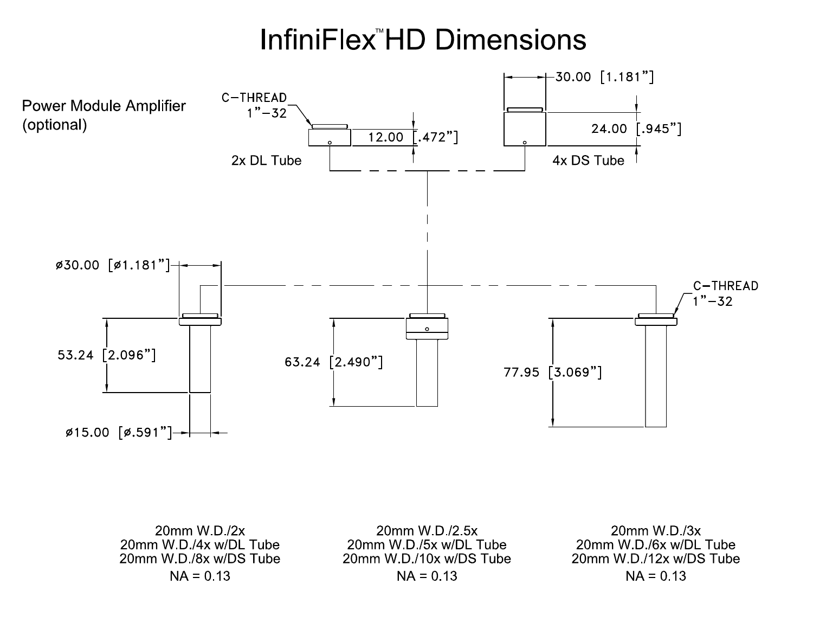## **InfiniFlex<sup>™</sup>HD Dimensions**



20mm W.D./2x 20mm W.D./4x w/DL Tube 20mm W.D./8x w/DS Tube  $NA = 0.13$ 

20mm W.D./2.5x 20mm W.D./5x w/DL Tube 20mm W D /10x w/DS Tube  $NA = 0.13$ 

20mm W.D./3x 20mm W.D./6x w/DL Tube 20mm W.D./12x w/DS Tube  $NA = 0.13$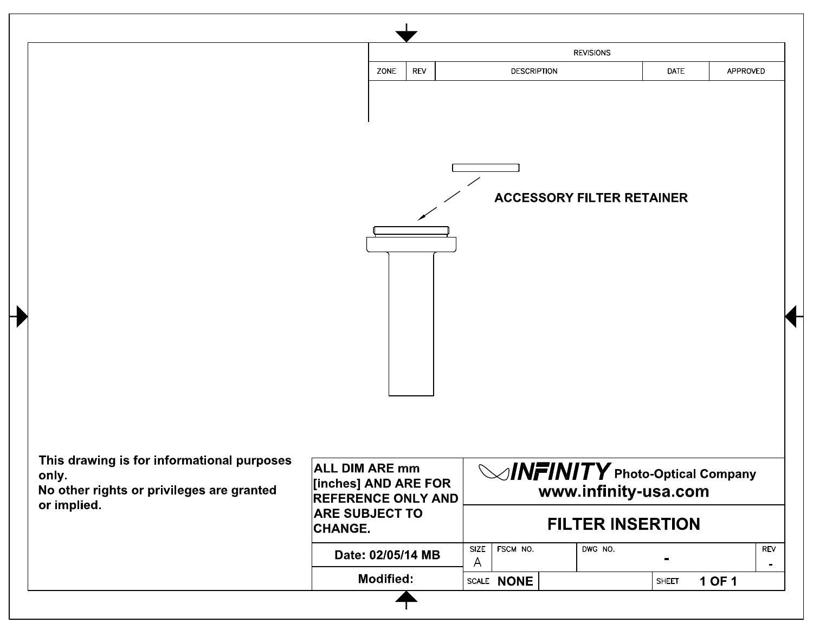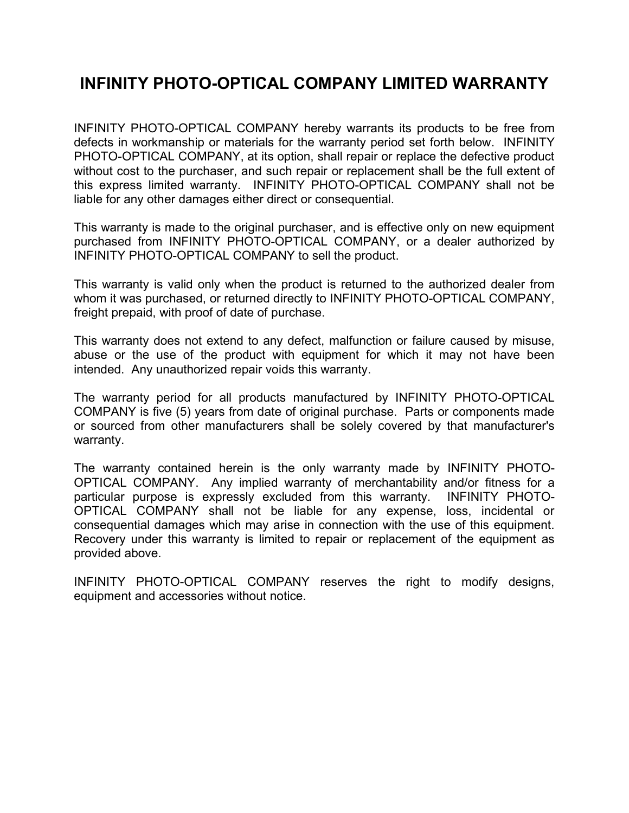#### **INFINITY PHOTO-OPTICAL COMPANY LIMITED WARRANTY**

INFINITY PHOTO-OPTICAL COMPANY hereby warrants its products to be free from defects in workmanship or materials for the warranty period set forth below. INFINITY PHOTO-OPTICAL COMPANY, at its option, shall repair or replace the defective product without cost to the purchaser, and such repair or replacement shall be the full extent of this express limited warranty. INFINITY PHOTO-OPTICAL COMPANY shall not be liable for any other damages either direct or consequential.

This warranty is made to the original purchaser, and is effective only on new equipment purchased from INFINITY PHOTO-OPTICAL COMPANY, or a dealer authorized by INFINITY PHOTO-OPTICAL COMPANY to sell the product.

This warranty is valid only when the product is returned to the authorized dealer from whom it was purchased, or returned directly to INFINITY PHOTO-OPTICAL COMPANY, freight prepaid, with proof of date of purchase.

This warranty does not extend to any defect, malfunction or failure caused by misuse, abuse or the use of the product with equipment for which it may not have been intended. Any unauthorized repair voids this warranty.

The warranty period for all products manufactured by INFINITY PHOTO-OPTICAL COMPANY is five (5) years from date of original purchase. Parts or components made or sourced from other manufacturers shall be solely covered by that manufacturer's warranty.

The warranty contained herein is the only warranty made by INFINITY PHOTO-OPTICAL COMPANY. Any implied warranty of merchantability and/or fitness for a particular purpose is expressly excluded from this warranty. INFINITY PHOTO-OPTICAL COMPANY shall not be liable for any expense, loss, incidental or consequential damages which may arise in connection with the use of this equipment. Recovery under this warranty is limited to repair or replacement of the equipment as provided above.

INFINITY PHOTO-OPTICAL COMPANY reserves the right to modify designs, equipment and accessories without notice.